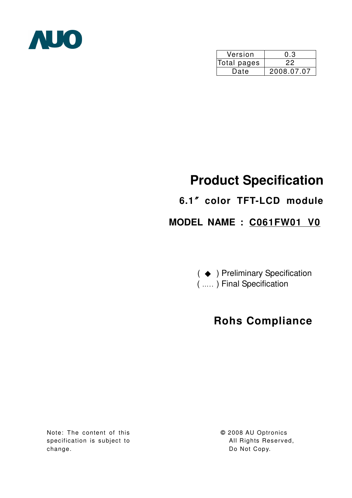

| Version     | 0.3        |  |  |  |  |
|-------------|------------|--|--|--|--|
| Total pages | ツツ         |  |  |  |  |
| Date        | 2008.07.07 |  |  |  |  |

# **Product Specification**

## **6.1**ϛ**color TFT-LCD module**

## **MODEL NAME : C061FW01 V0**

( → ) Preliminary Specification

( ….. ) Final Specification

## **Rohs Compliance**

Note: The content of this specification is subject to change.

**©** 2008 AU Optronics All Rights Reserved, Do Not Copy.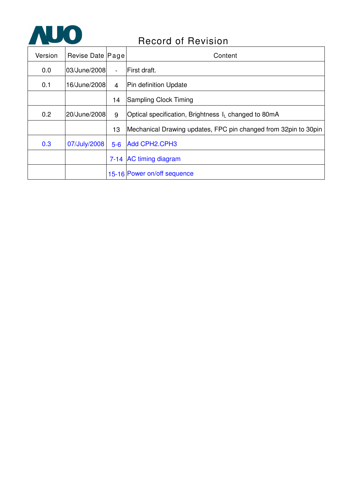

## Record of Revision

| Version | Revise Date Page |                | Content                                                          |
|---------|------------------|----------------|------------------------------------------------------------------|
| 0.0     | 03/June/2008     | $\blacksquare$ | First draft.                                                     |
| 0.1     | 16/June/2008     | $\overline{4}$ | Pin definition Update                                            |
|         |                  | 14             | <b>Sampling Clock Timing</b>                                     |
| 0.2     | 20/June/2008     | 9              | Optical specification, Brightness I <sub>L</sub> changed to 80mA |
|         |                  | 13             | Mechanical Drawing updates, FPC pin changed from 32pin to 30pin  |
| 0.3     | 07/July/2008     | $5-6$          | Add CPH2.CPH3                                                    |
|         |                  |                | 7-14 AC timing diagram                                           |
|         |                  |                | 15-16 Power on/off sequence                                      |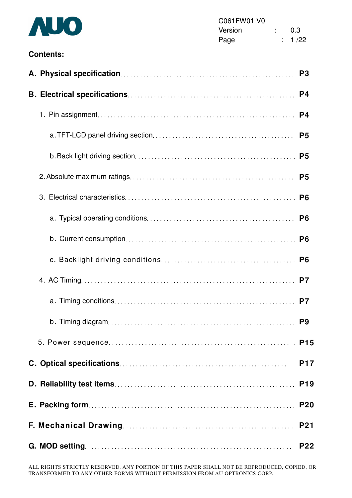

#### **Contents:**

|  | P <sub>3</sub>  |
|--|-----------------|
|  | P <sub>4</sub>  |
|  | P <sub>4</sub>  |
|  | P <sub>5</sub>  |
|  |                 |
|  | P <sub>5</sub>  |
|  |                 |
|  |                 |
|  |                 |
|  |                 |
|  |                 |
|  | P7              |
|  |                 |
|  |                 |
|  | <b>P17</b>      |
|  | P <sub>19</sub> |
|  | <b>P20</b>      |
|  | <b>P21</b>      |
|  | <b>P22</b>      |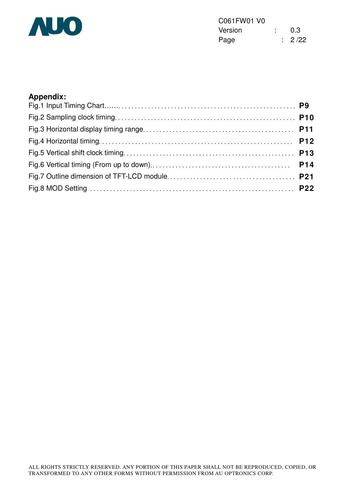

| C061FW01 V0 |  |        |
|-------------|--|--------|
| Version     |  | 0.3    |
| Page        |  | : 2/22 |

### **Appendix:**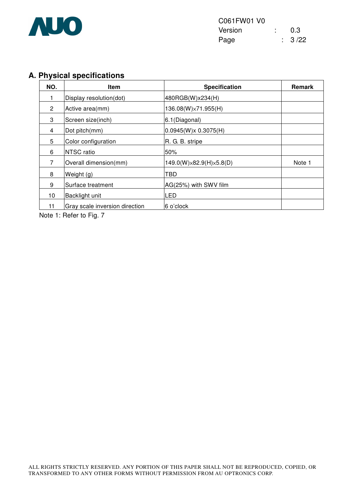

### **A. Physical specifications**

| NO.            | <b>Item</b>                    | <b>Specification</b>    | <b>Remark</b> |
|----------------|--------------------------------|-------------------------|---------------|
|                | Display resolution(dot)        | 480RGB(W)x234(H)        |               |
| $\overline{2}$ | Active area(mm)                | 136.08(W)×71.955(H)     |               |
| 3              | Screen size(inch)              | 6.1(Diagonal)           |               |
| 4              | Dot pitch(mm)                  | 0.0945(W)x 0.3075(H)    |               |
| 5              | Color configuration            | R. G. B. stripe         |               |
| 6              | NTSC ratio                     | 50%                     |               |
| 7              | Overall dimension(mm)          | 149.0(W)×82.9(H)×5.8(D) | Note 1        |
| 8              | Weight (g)                     | TBD                     |               |
| 9              | Surface treatment              | AG(25%) with SWV film   |               |
| 10             | Backlight unit                 | LED                     |               |
| 11             | Gray scale inversion direction | 6 o'clock               |               |

Note 1: Refer to Fig. 7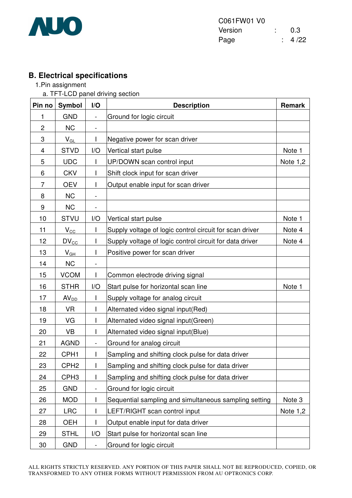

### **B. Electrical specifications**

- 1.Pin assignment
	- a. TFT-LCD panel driving section

| Pin no         | <b>Symbol</b>              | I/O                          | <b>Description</b>                                      | <b>Remark</b> |
|----------------|----------------------------|------------------------------|---------------------------------------------------------|---------------|
| 1              | <b>GND</b>                 | $\overline{\phantom{a}}$     | Ground for logic circuit                                |               |
| $\overline{c}$ | <b>NC</b>                  | $\overline{\phantom{a}}$     |                                                         |               |
| 3              | $V_{GL}$                   |                              | Negative power for scan driver                          |               |
| 4              | <b>STVD</b>                | I/O                          | Vertical start pulse                                    | Note 1        |
| 5              | <b>UDC</b>                 |                              | UP/DOWN scan control input                              | Note $1,2$    |
| 6              | <b>CKV</b>                 |                              | Shift clock input for scan driver                       |               |
| $\overline{7}$ | <b>OEV</b>                 |                              | Output enable input for scan driver                     |               |
| 8              | <b>NC</b>                  |                              |                                                         |               |
| 9              | <b>NC</b>                  | $\blacksquare$               |                                                         |               |
| 10             | <b>STVU</b>                | I/O                          | Vertical start pulse                                    | Note 1        |
| 11             | $V_{\rm CC}$               |                              | Supply voltage of logic control circuit for scan driver | Note 4        |
| 12             | $DV_{\text{CC}}$           |                              | Supply voltage of logic control circuit for data driver | Note 4        |
| 13             | $\mathsf{V}_{\mathsf{GH}}$ |                              | Positive power for scan driver                          |               |
| 14             | <b>NC</b>                  |                              |                                                         |               |
| 15             | <b>VCOM</b>                |                              | Common electrode driving signal                         |               |
| 16             | <b>STHR</b>                | I/O                          | Start pulse for horizontal scan line                    | Note 1        |
| 17             | AV <sub>DD</sub>           | I                            | Supply voltage for analog circuit                       |               |
| 18             | <b>VR</b>                  |                              | Alternated video signal input(Red)                      |               |
| 19             | VG                         |                              | Alternated video signal input(Green)                    |               |
| 20             | <b>VB</b>                  |                              | Alternated video signal input(Blue)                     |               |
| 21             | <b>AGND</b>                | $\qquad \qquad \blacksquare$ | Ground for analog circuit                               |               |
| 22             | CPH <sub>1</sub>           |                              | Sampling and shifting clock pulse for data driver       |               |
| 23             | CPH <sub>2</sub>           |                              | Sampling and shifting clock pulse for data driver       |               |
| 24             | CPH <sub>3</sub>           |                              | Sampling and shifting clock pulse for data driver       |               |
| 25             | <b>GND</b>                 |                              | Ground for logic circuit                                |               |
| 26             | <b>MOD</b>                 |                              | Sequential sampling and simultaneous sampling setting   | Note 3        |
| 27             | <b>LRC</b>                 |                              | LEFT/RIGHT scan control input                           | Note $1,2$    |
| 28             | <b>OEH</b>                 |                              | Output enable input for data driver                     |               |
| 29             | <b>STHL</b>                | I/O                          | Start pulse for horizontal scan line                    |               |
| 30             | <b>GND</b>                 |                              | Ground for logic circuit                                |               |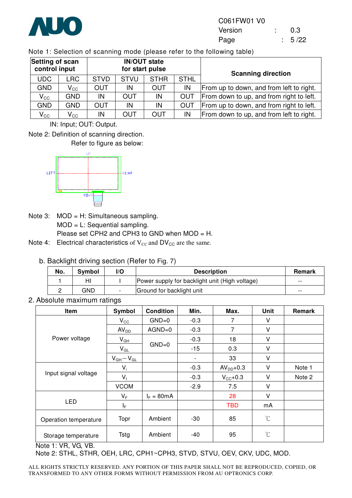

Note 1: Selection of scanning mode (please refer to the following table)

| Setting of scan<br>control input |                            |             |             | <b>IN/OUT state</b><br>for start pulse |             | <b>Scanning direction</b>                |  |  |
|----------------------------------|----------------------------|-------------|-------------|----------------------------------------|-------------|------------------------------------------|--|--|
| UDC                              | LRC.                       | <b>STVD</b> | <b>STVU</b> | <b>STHR</b>                            | <b>STHL</b> |                                          |  |  |
| <b>GND</b>                       | $\mathsf{V}_{\mathsf{CC}}$ | <b>OUT</b>  | IN          | <b>OUT</b>                             | IN          | From up to down, and from left to right. |  |  |
| $\mathsf{V}_{\mathsf{CC}}$       | GND.                       | IN          | OUT         | IN                                     | OUT         | From down to up, and from right to left. |  |  |
| <b>GND</b>                       | <b>GND</b>                 | <b>OUT</b>  | IN          | IN                                     | <b>OUT</b>  | From up to down, and from right to left. |  |  |
| $V_{\rm CC}$                     | $\mathsf{V}_{\mathsf{CC}}$ | IN          | OUT         | <b>OUT</b>                             | IN          | From down to up, and from left to right. |  |  |

IN: Input; OUT: Output.

Note 2: Definition of scanning direction.

Refer to figure as below:



Note 3: MOD = H: Simultaneous sampling. MOD = L: Sequential sampling. Please set CPH2 and CPH3 to GND when MOD = H.

Note 4: Electrical characteristics of  $V_{CC}$  and  $DV_{CC}$  are the same.

b. Backlight driving section (Refer to Fig. 7)

| No. | Symbol | l/O | <b>Description</b>                             | <b>Remark</b> |
|-----|--------|-----|------------------------------------------------|---------------|
|     | HI     |     | Power supply for backlight unit (High voltage) | $- -$         |
|     | GND    |     | Ground for backlight unit                      | --            |

2. Absolute maximum ratings

| Item                  | Symbol           | <b>Condition</b> | Min.   | Max.                | <b>Unit</b>          | Remark |
|-----------------------|------------------|------------------|--------|---------------------|----------------------|--------|
|                       | $V_{\rm CC}$     | $GND=0$          | $-0.3$ | 7                   | V                    |        |
|                       | AV <sub>DD</sub> | $AGND=0$         | $-0.3$ | 7                   | V                    |        |
| Power voltage         | $V_{GH}$         |                  | $-0.3$ | 18                  | $\vee$               |        |
|                       | $V_{GL}$         | $GND=0$          | $-15$  | 0.3                 | $\vee$               |        |
|                       | $V_{GH}-V_{GL}$  |                  |        | 33                  | V                    |        |
|                       | $V_i$            |                  | $-0.3$ | $AVDD+0.3$          | V                    | Note 1 |
| Input signal voltage  | $V_{1}$          |                  | $-0.3$ | $V_{\text{CC}}+0.3$ | $\vee$               | Note 2 |
|                       | <b>VCOM</b>      |                  | $-2.9$ | 7.5                 | $\vee$               |        |
|                       | $V_F$            | $I_F = 80mA$     |        | 28                  | V                    |        |
| <b>LED</b>            | ΙF               |                  |        | <b>TBD</b>          | mA                   |        |
| Operation temperature | Topr             | Ambient          | $-30$  | 85                  | $\mathrm{C}^{\circ}$ |        |
| Storage temperature   | <b>Tstg</b>      | Ambient          | -40    | 95                  | $^{\circ}$ C         |        |

Note 1: VR, VG, VB.

Note 2: STHL, STHR, OEH, LRC, CPH1~CPH3, STVD, STVU, OEV, CKV, UDC, MOD.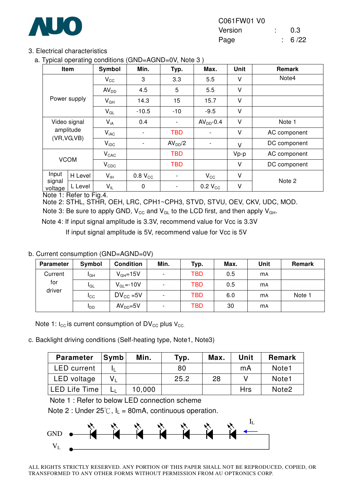

| C061FW01 V0 |  |        |
|-------------|--|--------|
| Version     |  | 0.3    |
| Page        |  | : 6/22 |

#### 3. Electrical characteristics

a. Typical operating conditions (GND=AGND=0V, Note 3 )

| ,,                | ັ<br>Item    | Symbol           | Min.                | Typ.                | Max.         | Unit | Remark       |
|-------------------|--------------|------------------|---------------------|---------------------|--------------|------|--------------|
| Power supply      |              | $V_{\rm CC}$     | 3                   | 3.3                 | 5.5          | V    | Note4        |
|                   |              | AV <sub>DD</sub> | 4.5                 | 5                   | 5.5          | V    |              |
|                   |              | $V_{GH}$         | 14.3                | 15                  | 15.7         | V    |              |
|                   |              | $V_{GL}$         | $-10.5$             | $-10$               | $-9.5$       | V    |              |
|                   | Video signal |                  | 0.4                 |                     | $AVDD - 0.4$ | V    | Note 1       |
|                   | amplitude    | $V_{iAC}$        |                     | <b>TBD</b>          |              | V    | AC component |
| (VR, VG, VB)      |              | $V_{\text{IDC}}$ |                     | AV <sub>DD</sub> /2 |              | V    | DC component |
|                   |              | $V_{CAC}$        |                     | <b>TBD</b>          |              | Vp-p | AC component |
| <b>VCOM</b>       |              | $V_{CDC}$        |                     | <b>TBD</b>          |              | V    | DC component |
| Input             | H Level      | $V_{IH}$         | 0.8 V <sub>CC</sub> |                     | $V_{\rm CC}$ | V    | Note 2       |
| signal<br>voltage | L Level      | $V_{IL}$         | 0                   | -                   | $0.2 V_{CC}$ | V    |              |

Note 1: Refer to Fig.4.

Note 2: STHL, STHR, OEH, LRC, CPH1~CPH3, STVD, STVU, OEV, CKV, UDC, MOD.

Note 3: Be sure to apply GND,  $V_{CC}$  and  $V_{GL}$  to the LCD first, and then apply  $V_{GH}$ .

Note 4: If input signal amplitude is 3.3V, recommend value for Vcc is 3.3V

If input signal amplitude is 5V, recommend value for Vcc is 5V

#### b. Current consumption (GND=AGND=0V)

| <b>Parameter</b>         | Symbol       | <b>Condition</b>      | Min.                     | Typ. | Max. | Unit                 | Remark |
|--------------------------|--------------|-----------------------|--------------------------|------|------|----------------------|--------|
| Current<br>for<br>driver | <b>I</b> GH  | $V_{GH} = 15V$        | -                        | TBD  | 0.5  | <b>m<sub>A</sub></b> |        |
|                          | IGL          | $V_{GL} = -10V$       | Ξ.                       | TBD  | 0.5  | <b>mA</b>            |        |
|                          | $I_{\rm CC}$ | $DV_{\text{CC}} = 5V$ | $\overline{\phantom{0}}$ | TBD  | 6.0  | <b>mA</b>            | Note 1 |
|                          | <b>I</b> DD  | $AVDD=5V$             | -                        | TBD  | 30   | <b>MA</b>            |        |

Note 1:  $I_{\text{CC}}$  is current consumption of DV<sub>CC</sub> plus V<sub>CC</sub>.

c. Backlight driving conditions (Self-heating type, Note1, Note3)

| <b>Parameter</b>     | Symb | Min.   | Typ. | Max. | Unit | Remark            |
|----------------------|------|--------|------|------|------|-------------------|
| <b>LED</b> current   |      |        | 80   |      | mA   | Note <sub>1</sub> |
| LED voltage          |      |        | 25.2 | 28   |      | Note <sub>1</sub> |
| <b>LED Life Time</b> |      | 10,000 |      |      | Hrs  | Note <sub>2</sub> |

Note 1 : Refer to below LED connection scheme

Note 2 : Under  $25^{\circ}$ C, I<sub>L</sub> = 80mA, continuous operation.

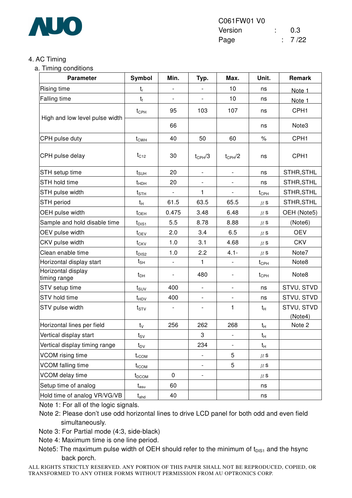

#### 4. AC Timing

a. Timing conditions

| <b>Parameter</b>                   | Symbol                                 | Min.                     | Typ.                     | Max.                     | Unit.              | Remark                |
|------------------------------------|----------------------------------------|--------------------------|--------------------------|--------------------------|--------------------|-----------------------|
| Rising time                        | $t_{r}$                                |                          |                          | 10                       | ns                 | Note 1                |
| Falling time                       | $t_{\rm f}$                            |                          |                          | 10                       | ns                 | Note 1                |
| High and low level pulse width     | $t_{\text{CPH}}$                       | 95                       | 103                      | 107                      | ns                 | CPH <sub>1</sub>      |
|                                    |                                        | 66                       |                          |                          | ns                 | Note3                 |
| CPH pulse duty                     | $t_{CWH}$                              | 40                       | 50                       | 60                       | $\%$               | CPH <sub>1</sub>      |
| CPH pulse delay                    | $t_{C12}$                              | 30                       | $t_{\rm CPH}/3$          | $t_{\text{CPH}}/2$       | ns                 | CPH <sub>1</sub>      |
| STH setup time                     | $t_{\text{SUH}}$                       | 20                       | $\blacksquare$           | ÷,                       | ns                 | STHR, STHL            |
| STH hold time                      | $t_{HDH}$                              | 20                       | $\overline{\phantom{a}}$ | $\overline{a}$           | ns                 | STHR, STHL            |
| STH pulse width                    | $t_{\scriptstyle\text{STH}}$           | $\overline{\phantom{a}}$ | 1                        | $\overline{\phantom{0}}$ | $t_{\text{CPH}}$   | STHR, STHL            |
| <b>STH</b> period                  | $t_{\mathsf{H}}$                       | 61.5                     | 63.5                     | 65.5                     | $\mu$ s            | STHR, STHL            |
| OEH pulse width                    | $t_{\text{OEH}}$                       | 0.475                    | 3.48                     | 6.48                     | $\mu$ S            | OEH (Note5)           |
| Sample and hold disable time       | $t_{\text{DIS1}}$                      | 5.5                      | 8.78                     | 8.88                     | $\mu$ s            | (Note6)               |
| OEV pulse width                    | $t_{OEV}$                              | 2.0                      | 3.4                      | 6.5                      | $\mu$ s            | <b>OEV</b>            |
| CKV pulse width                    | $t_{CKV}$                              | 1.0                      | 3.1                      | 4.68                     | $\mu$ s            | <b>CKV</b>            |
| Clean enable time                  | $t_{\text{DIS2}}$                      | 1.0                      | 2.2                      | $4.1 -$                  | $\mu$ s            | Note7                 |
| Horizontal display start           | $t_{\sf SH}$                           |                          | $\mathbf{1}$             |                          | $t_{\text{CPH}}$   | Note8                 |
| Horizontal display<br>timing range | $t_{DH}$                               | $\overline{\phantom{a}}$ | 480                      | $\overline{\phantom{0}}$ | $t_{\mathsf{CPH}}$ | Note8                 |
| STV setup time                     | $t_{\text{SUV}}$                       | 400                      | $\overline{\phantom{0}}$ |                          | ns                 | STVU, STVD            |
| STV hold time                      | $t_{HDV}$                              | 400                      |                          |                          | ns                 | STVU, STVD            |
| STV pulse width                    | $t_{STV}$                              |                          |                          | $\mathbf{1}$             | $t_H$              | STVU, STVD<br>(Note4) |
| Horizontal lines per field         | $t_v$                                  | 256                      | 262                      | 268                      | $t_H$              | Note 2                |
| Vertical display start             | $t_{\scriptstyle\textrm{SV}}$          |                          | 3                        |                          | $t_H$              |                       |
| Vertical display timing range      | $t_{\text{DV}}$                        |                          | 234                      |                          | $t_{H}$            |                       |
| VCOM rising time                   | $t_{rCOM}$                             |                          | $\overline{\phantom{0}}$ | 5                        | $\mu$ s            |                       |
| VCOM falling time                  | $t_{\rm fCOM}$                         |                          |                          | 5                        | $\mu$ s            |                       |
| VCOM delay time                    | $t_{DCOM}$                             | $\pmb{0}$                | $\overline{\phantom{0}}$ |                          | $\mu$ s            |                       |
| Setup time of analog               | $t_{\mathsf{asu}}$                     | 60                       |                          |                          | ns                 |                       |
| Hold time of analog VR/VG/VB       | $t_{\mathsf{a} \mathsf{h} \mathsf{d}}$ | 40                       |                          |                          | ns                 |                       |

Note 1: For all of the logic signals.

Note 2: Please don't use odd horizontal lines to drive LCD panel for both odd and even field simultaneously.

Note 3: For Partial mode (4:3, side-black)

Note 4: Maximum time is one line period.

Note5: The maximum pulse width of OEH should refer to the minimum of  $t_{DIS1}$  and the hsync back porch.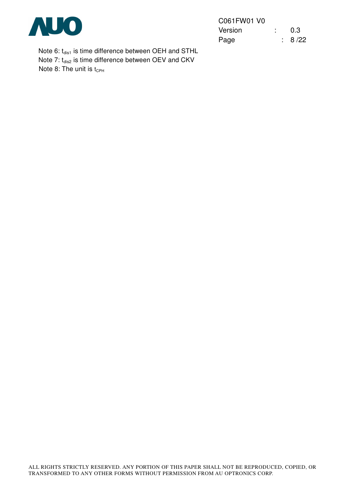

| C061FW01 V0 |  |        |
|-------------|--|--------|
| Version     |  | 0.3    |
| Page        |  | : 8/22 |

Note 6:  $t_{dis1}$  is time difference between OEH and STHL Note 7:  $t_{dis2}$  is time difference between OEV and CKV Note 8: The unit is  $t_{\text{CPH}}$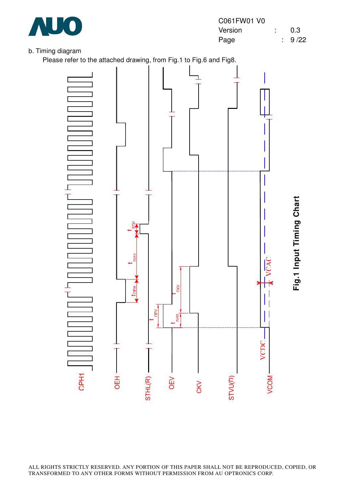

#### b. Timing diagram

Please refer to the attached drawing, from Fig.1 to Fig.6 and Fig8.

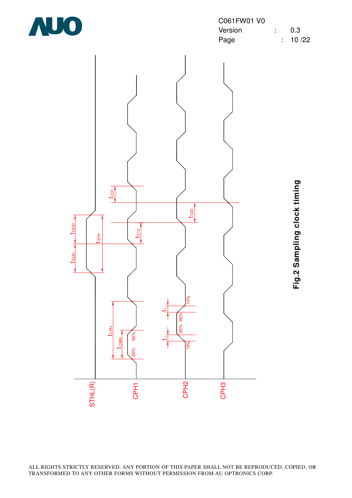

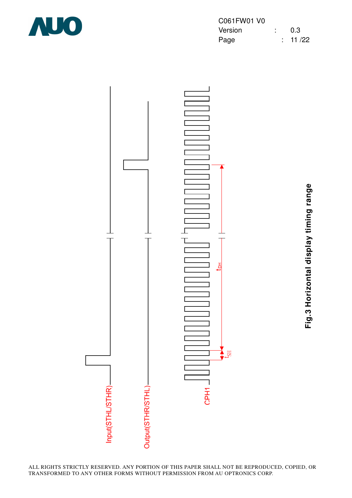

| C061FW01 V0 |  |              |
|-------------|--|--------------|
| Version     |  | 0.3          |
| Page        |  | $\div$ 11/22 |



**Fig.3 Horizontal display timing range** Fig.3 Horizontal display timing range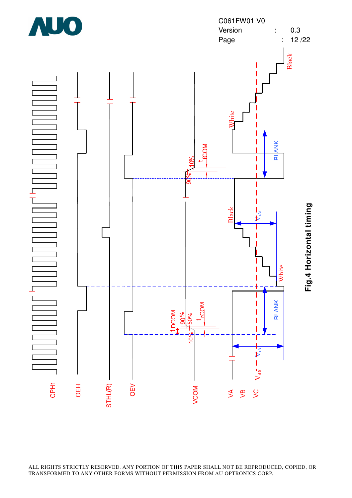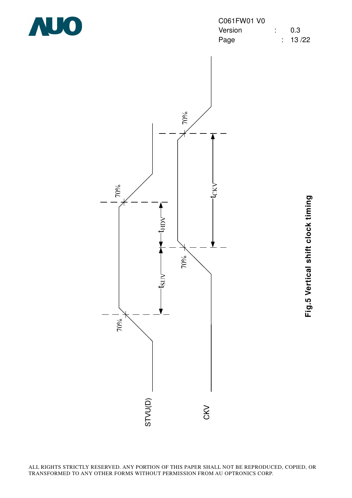

| C061FW01 V0 |  |         |
|-------------|--|---------|
| Version     |  | 0.3     |
| Page        |  | : 13/22 |



**Fig.5 Vertical shift clock timing** Fig.5 Vertical shift clock timing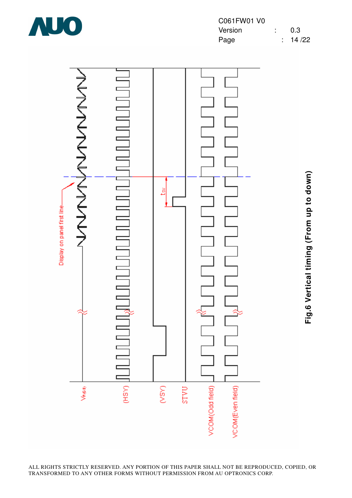

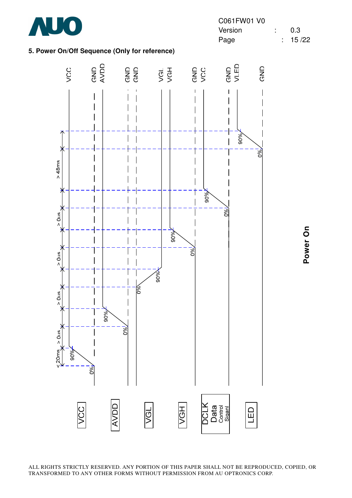

#### **5. Power On/Off Sequence (Only for reference)**



Power On **Power On**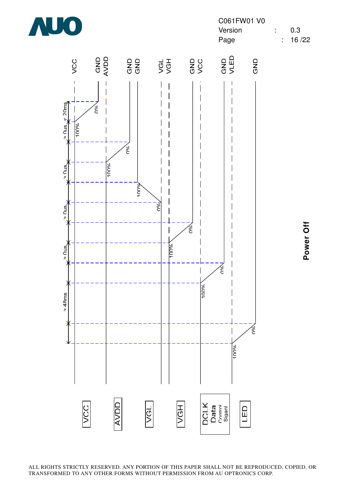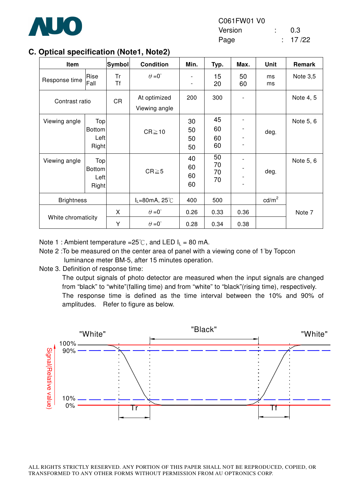

| Optical specification (1996), Hotel |                                       |                 |                                           |                      |                      |          |                   |            |
|-------------------------------------|---------------------------------------|-----------------|-------------------------------------------|----------------------|----------------------|----------|-------------------|------------|
| Item                                |                                       | <b>Symbol</b>   | <b>Condition</b>                          | Min.                 | Typ.                 | Max.     | <b>Unit</b>       | Remark     |
| Response time                       | Rise<br>Fall                          | Tr<br><b>Tf</b> | $\theta = 0^{\circ}$                      | -                    | 15<br>20             | 50<br>60 | ms<br>ms          | Note $3,5$ |
| Contrast ratio                      |                                       | <b>CR</b>       | At optimized<br>Viewing angle             | 200                  | 300                  |          |                   | Note 4, 5  |
| Viewing angle                       | Top<br><b>Bottom</b><br>Left<br>Right |                 | $CR \ge 10$                               | 30<br>50<br>50<br>50 | 45<br>60<br>60<br>60 |          | deg.              | Note 5, 6  |
| Viewing angle                       | Top<br><b>Bottom</b><br>Left<br>Right |                 | $CR \ge 5$                                | 40<br>60<br>60<br>60 | 50<br>70<br>70<br>70 |          | deg.              | Note 5, 6  |
| <b>Brightness</b>                   |                                       |                 | $I_L = 80 \text{mA}, 25^{\circ} \text{C}$ | 400                  | 500                  |          | cd/m <sup>2</sup> |            |
| White chromaticity                  |                                       | X               | $\theta = 0^{\circ}$                      | 0.26                 | 0.33                 | 0.36     |                   | Note 7     |
|                                     |                                       | Υ               | $\theta = 0^{\circ}$                      | 0.28                 | 0.34                 | 0.38     |                   |            |

#### **C. Optical specification (Note1, Note2)**

Note 1 : Ambient temperature =25°C, and LED  $I_L$  = 80 mA.

- Note 2 : To be measured on the center area of panel with a viewing cone of 1<sup>°by</sup> Topcon luminance meter BM-5, after 15 minutes operation.
- Note 3. Definition of response time:

The output signals of photo detector are measured when the input signals are changed from "black" to "white"(falling time) and from "white" to "black"(rising time), respectively. The response time is defined as the time interval between the 10% and 90% of amplitudes. Refer to figure as below.

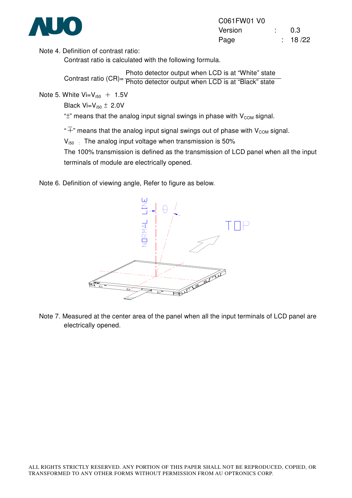

| C061FW01 V0 |  |         |
|-------------|--|---------|
| Version     |  | 0.3     |
| Page        |  | : 18/22 |

Note 4. Definition of contrast ratio:

Contrast ratio is calculated with the following formula.

Contrast ratio (CR)= Photo detector output when LCD is at "White" state Photo detector output when LCD is at "Black" state

Note 5. White  $Vi = V_{150} + 1.5V$ 

Black Vi= $V_{i50} \pm 2.0V$ 

" $\pm$ " means that the analog input signal swings in phase with  $V_{COM}$  signal.

" $\overline{+}$ " means that the analog input signal swings out of phase with V<sub>COM</sub> signal.

 $V_{150}$  : The analog input voltage when transmission is 50%

The 100% transmission is defined as the transmission of LCD panel when all the input terminals of module are electrically opened.

Note 6. Definition of viewing angle, Refer to figure as below.



Note 7. Measured at the center area of the panel when all the input terminals of LCD panel are electrically opened.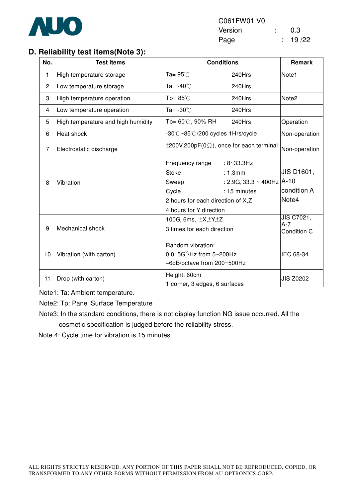

#### **D. Reliability test items(Note 3):**

| No.            | <b>Test items</b>                  | <b>Conditions</b>                                                                                                 | <b>Remark</b>                                                              |                                    |
|----------------|------------------------------------|-------------------------------------------------------------------------------------------------------------------|----------------------------------------------------------------------------|------------------------------------|
| 1              | High temperature storage           | Ta= $95^\circ\text{C}$                                                                                            | 240Hrs                                                                     | Note1                              |
| $\overline{c}$ | Low temperature storage            | Ta= -40 $\degree$ C                                                                                               | 240Hrs                                                                     |                                    |
| 3              | High temperature operation         | Tp= $85^{\circ}$ C                                                                                                | 240Hrs                                                                     | Note <sub>2</sub>                  |
| 4              | Low temperature operation          | Ta= -30℃                                                                                                          | 240Hrs                                                                     |                                    |
| 5              | High temperature and high humidity | Tp= 60℃, 90% RH                                                                                                   | 240Hrs                                                                     | Operation                          |
| 6              | Heat shock                         | -30℃~85℃/200 cycles 1Hrs/cycle                                                                                    | Non-operation                                                              |                                    |
| $\overline{7}$ | Electrostatic discharge            | $\pm 200V, 200pF(0\Omega)$ , once for each terminal                                                               | Non-operation                                                              |                                    |
| 8              | Vibration                          | Frequency range<br><b>Stoke</b><br>Sweep<br>Cycle<br>2 hours for each direction of X,Z<br>4 hours for Y direction | $: 8 - 33.3$ Hz<br>: 1.3mm<br>: 2.9G, 33.3 ~ 400Hz $ A-10$<br>: 15 minutes | JIS D1601,<br>condition A<br>Note4 |
| 9              | Mechanical shock                   | 100G, 6ms, $\pm X, \pm Y, \pm Z$<br>3 times for each direction                                                    |                                                                            | JIS C7021,<br>$A-7$<br>Condition C |
| 10             | Vibration (with carton)            | Random vibration:<br>$0.015G^2$ /Hz from $5 \sim 200Hz$<br>-6dB/octave from 200~500Hz                             | IEC 68-34                                                                  |                                    |
| 11             | Drop (with carton)                 | Height: 60cm<br>1 corner, 3 edges, 6 surfaces                                                                     |                                                                            | <b>JIS Z0202</b>                   |

Note1: Ta: Ambient temperature.

Note2: Tp: Panel Surface Temperature

Note3: In the standard conditions, there is not display function NG issue occurred. All the cosmetic specification is judged before the reliability stress.

Note 4: Cycle time for vibration is 15 minutes.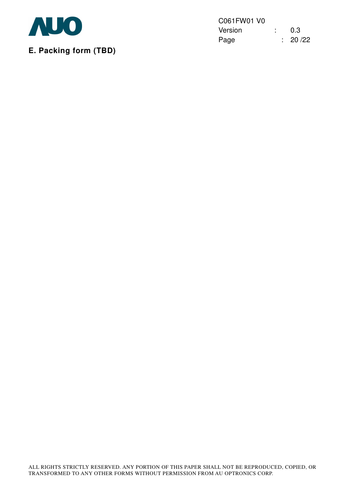

**E. Packing form (TBD)** 

C061FW01 V0 Version : 0.3 Page : 20 /22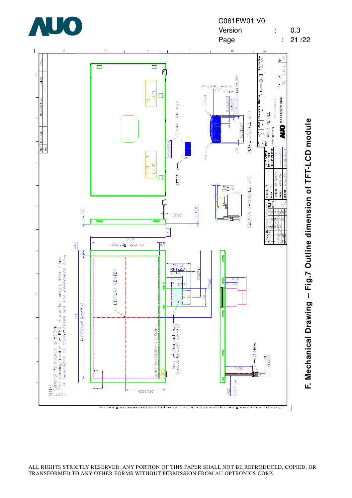

**F. Mechanical Drawing -- Fig.7 Outline dimension of TFT-LCD module** F. Mechanical Drawing -- Fig.7 Outline dimension of TFT-LCD module